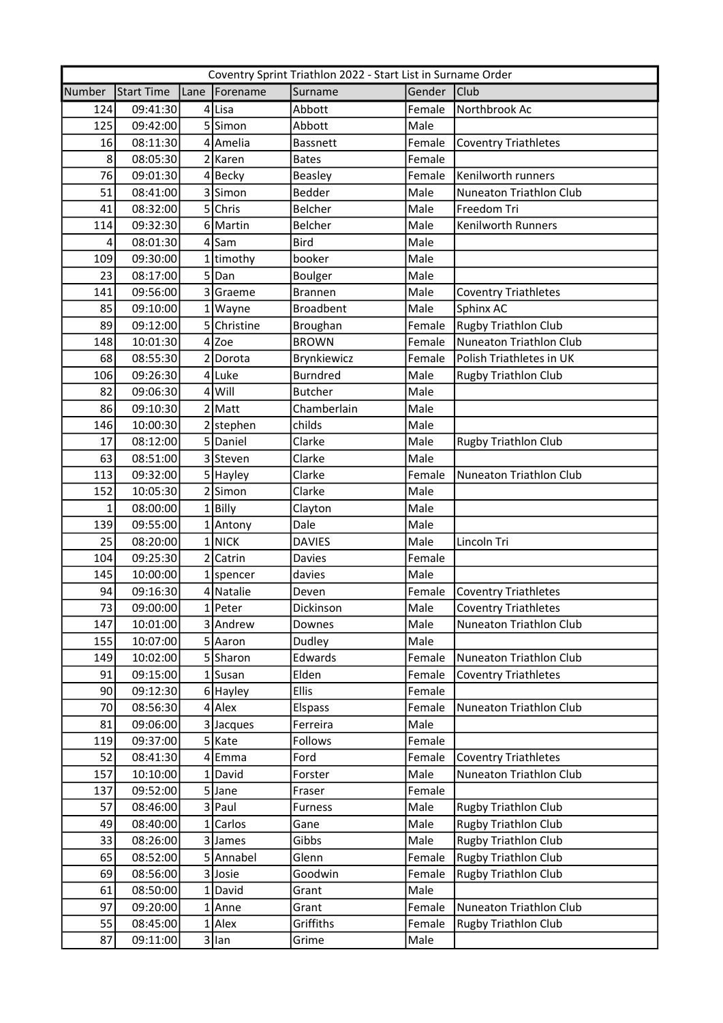| Coventry Sprint Triathlon 2022 - Start List in Surname Order |            |      |              |                  |        |                             |  |
|--------------------------------------------------------------|------------|------|--------------|------------------|--------|-----------------------------|--|
| Number                                                       | Start Time | Lane | Forename     | Surname          | Gender | Club                        |  |
| 124                                                          | 09:41:30   |      | 4 Lisa       | Abbott           | Female | Northbrook Ac               |  |
| 125                                                          | 09:42:00   |      | 5Simon       | Abbott           | Male   |                             |  |
| 16                                                           | 08:11:30   |      | 4 Amelia     | <b>Bassnett</b>  | Female | <b>Coventry Triathletes</b> |  |
| 8                                                            | 08:05:30   |      | 2 Karen      | <b>Bates</b>     | Female |                             |  |
| 76                                                           | 09:01:30   |      | 4Becky       | <b>Beasley</b>   | Female | Kenilworth runners          |  |
| 51                                                           | 08:41:00   |      | 3Simon       | <b>Bedder</b>    | Male   | Nuneaton Triathlon Club     |  |
| 41                                                           | 08:32:00   |      | 5 Chris      | Belcher          | Male   | Freedom Tri                 |  |
| 114                                                          | 09:32:30   |      | 6 Martin     | <b>Belcher</b>   | Male   | Kenilworth Runners          |  |
| 4                                                            | 08:01:30   |      | $4$ Sam      | <b>Bird</b>      | Male   |                             |  |
| 109                                                          | 09:30:00   |      | 1 timothy    | booker           | Male   |                             |  |
| 23                                                           | 08:17:00   |      | 5Dan         | <b>Boulger</b>   | Male   |                             |  |
| 141                                                          | 09:56:00   |      | 3 Graeme     | <b>Brannen</b>   | Male   | <b>Coventry Triathletes</b> |  |
| 85                                                           | 09:10:00   |      | 1   Wayne    | <b>Broadbent</b> | Male   | Sphinx AC                   |  |
| 89                                                           | 09:12:00   |      | 5 Christine  | Broughan         | Female | <b>Rugby Triathlon Club</b> |  |
| 148                                                          | 10:01:30   |      | $4$ Zoe      | <b>BROWN</b>     | Female | Nuneaton Triathlon Club     |  |
| 68                                                           | 08:55:30   |      | 2 Dorota     | Brynkiewicz      | Female | Polish Triathletes in UK    |  |
| 106                                                          | 09:26:30   |      | 4 Luke       | <b>Burndred</b>  | Male   | <b>Rugby Triathlon Club</b> |  |
| 82                                                           | 09:06:30   |      | $4$ Will     | <b>Butcher</b>   | Male   |                             |  |
| 86                                                           | 09:10:30   |      | $2$ Matt     | Chamberlain      | Male   |                             |  |
| 146                                                          | 10:00:30   |      | 2 stephen    | childs           | Male   |                             |  |
| 17                                                           | 08:12:00   |      | 5 Daniel     | Clarke           | Male   | <b>Rugby Triathlon Club</b> |  |
| 63                                                           | 08:51:00   |      | 3 Steven     | Clarke           | Male   |                             |  |
| 113                                                          | 09:32:00   |      | 5 Hayley     | Clarke           | Female | Nuneaton Triathlon Club     |  |
| 152                                                          | 10:05:30   |      | $2$ Simon    | Clarke           | Male   |                             |  |
| $\mathbf{1}$                                                 | 08:00:00   |      | $1$  Billy   | Clayton          | Male   |                             |  |
| 139                                                          | 09:55:00   |      | 1 Antony     | Dale             | Male   |                             |  |
| 25                                                           | 08:20:00   |      | $1$ NICK     | <b>DAVIES</b>    | Male   | Lincoln Tri                 |  |
| 104                                                          | 09:25:30   |      | 2 Catrin     | Davies           | Female |                             |  |
| 145                                                          | 10:00:00   |      | $1$  spencer | davies           | Male   |                             |  |
| 94                                                           | 09:16:30   |      | 4 Natalie    | Deven            | Female | <b>Coventry Triathletes</b> |  |
| 73                                                           | 09:00:00   |      | $1$  Peter   | Dickinson        | Male   | <b>Coventry Triathletes</b> |  |
| 147                                                          | 10:01:00   |      | 3 Andrew     | Downes           | Male   | Nuneaton Triathlon Club     |  |
| 155                                                          | 10:07:00   |      | 5 Aaron      | Dudley           | Male   |                             |  |
| 149                                                          | 10:02:00   |      | 5 Sharon     | Edwards          | Female | Nuneaton Triathlon Club     |  |
| 91                                                           | 09:15:00   |      | $1$ Susan    | Elden            | Female | <b>Coventry Triathletes</b> |  |
| 90                                                           | 09:12:30   |      | 6 Hayley     | <b>Ellis</b>     | Female |                             |  |
| 70                                                           | 08:56:30   |      | $4$ Alex     | Elspass          | Female | Nuneaton Triathlon Club     |  |
| 81                                                           | 09:06:00   |      | 3 Jacques    | Ferreira         | Male   |                             |  |
| 119                                                          | 09:37:00   |      | 5 Kate       | Follows          | Female |                             |  |
| 52                                                           | 08:41:30   |      | 4 Emma       | Ford             | Female | <b>Coventry Triathletes</b> |  |
| 157                                                          | 10:10:00   |      | 1 David      | Forster          | Male   | Nuneaton Triathlon Club     |  |
| 137                                                          | 09:52:00   |      | $5$ Jane     | Fraser           | Female |                             |  |
| 57                                                           | 08:46:00   |      | 3 Paul       | <b>Furness</b>   | Male   | Rugby Triathlon Club        |  |
| 49                                                           | 08:40:00   |      | 1 Carlos     | Gane             | Male   | <b>Rugby Triathlon Club</b> |  |
| 33                                                           | 08:26:00   |      | 3 James      | Gibbs            | Male   | Rugby Triathlon Club        |  |
| 65                                                           | 08:52:00   |      | 5 Annabel    | Glenn            | Female | <b>Rugby Triathlon Club</b> |  |
| 69                                                           | 08:56:00   |      | 3Josie       | Goodwin          | Female | <b>Rugby Triathlon Club</b> |  |
| 61                                                           |            |      | 1 David      | Grant            | Male   |                             |  |
| 97                                                           | 08:50:00   |      |              |                  |        |                             |  |
|                                                              | 09:20:00   |      | $1$ Anne     | Grant            | Female | Nuneaton Triathlon Club     |  |
| 55                                                           | 08:45:00   |      | $1$ Alex     | Griffiths        | Female | Rugby Triathlon Club        |  |
| 87                                                           | 09:11:00   |      | 3 lan        | Grime            | Male   |                             |  |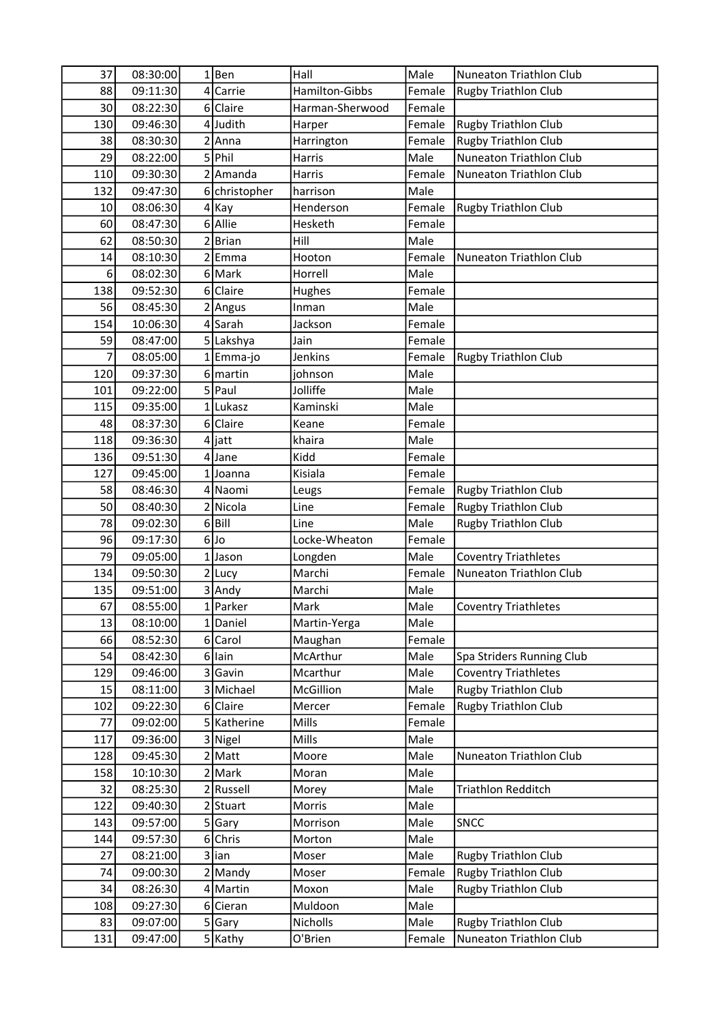| 37  | 08:30:00 | $1$ Ben              | Hall            | Male         | <b>Nuneaton Triathlon Club</b> |
|-----|----------|----------------------|-----------------|--------------|--------------------------------|
| 88  | 09:11:30 | 4 Carrie             | Hamilton-Gibbs  | Female       | <b>Rugby Triathlon Club</b>    |
| 30  | 08:22:30 | 6 Claire             | Harman-Sherwood | Female       |                                |
| 130 | 09:46:30 | 4Judith              | Harper          | Female       | <b>Rugby Triathlon Club</b>    |
| 38  | 08:30:30 | 2 Anna               | Harrington      | Female       | <b>Rugby Triathlon Club</b>    |
| 29  | 08:22:00 | 5 Phil               | <b>Harris</b>   | Male         | <b>Nuneaton Triathlon Club</b> |
| 110 | 09:30:30 | 2 Amanda             | Harris          | Female       | Nuneaton Triathlon Club        |
| 132 | 09:47:30 | 6 christopher        | harrison        | Male         |                                |
| 10  | 08:06:30 | $4$ Kay              | Henderson       | Female       | Rugby Triathlon Club           |
| 60  | 08:47:30 | 6 Allie              | Hesketh         | Female       |                                |
| 62  | 08:50:30 | 2Brian               | Hill            | Male         |                                |
| 14  | 08:10:30 | 2 <sup>Emma</sup>    | Hooton          | Female       | Nuneaton Triathlon Club        |
| 6   | 08:02:30 | 6 Mark               | Horrell         | Male         |                                |
| 138 | 09:52:30 | 6 Claire             | Hughes          | Female       |                                |
| 56  | 08:45:30 | 2 Angus              | Inman           | Male         |                                |
| 154 | 10:06:30 | 4 Sarah              | Jackson         | Female       |                                |
| 59  | 08:47:00 | 5 Lakshya            | Jain            | Female       |                                |
| 7   | 08:05:00 | 1 Emma-jo            | Jenkins         | Female       | <b>Rugby Triathlon Club</b>    |
| 120 | 09:37:30 | 6 martin             | johnson         | Male         |                                |
| 101 | 09:22:00 | 5 Paul               | Jolliffe        | Male         |                                |
| 115 | 09:35:00 | 1 Lukasz             | Kaminski        | Male         |                                |
| 48  | 08:37:30 | 6 Claire             | Keane           | Female       |                                |
| 118 | 09:36:30 | $4$ jatt             | khaira          | Male         |                                |
| 136 | 09:51:30 | $4$ Jane             | Kidd            | Female       |                                |
| 127 | 09:45:00 | 1Joanna              | Kisiala         | Female       |                                |
| 58  | 08:46:30 | 4 Naomi              | Leugs           | Female       | <b>Rugby Triathlon Club</b>    |
| 50  | 08:40:30 | 2 Nicola             | Line            | Female       | <b>Rugby Triathlon Club</b>    |
| 78  | 09:02:30 | $6$ Bill             | Line            | Male         | <b>Rugby Triathlon Club</b>    |
| 96  | 09:17:30 | $6$ Jo               | Locke-Wheaton   | Female       |                                |
| 79  | 09:05:00 | 1Jason               | Longden         | Male         | <b>Coventry Triathletes</b>    |
| 134 | 09:50:30 | $2$ Lucy             | Marchi          | Female       | Nuneaton Triathlon Club        |
| 135 | 09:51:00 | 3 Andy               | Marchi          | Male         |                                |
| 67  |          |                      |                 |              |                                |
| 13  | 08:55:00 | 1 Parker<br>1 Daniel | Mark            | Male<br>Male | <b>Coventry Triathletes</b>    |
|     | 08:10:00 | 6 Carol              | Martin-Yerga    |              |                                |
| 66  | 08:52:30 |                      | Maughan         | Female       |                                |
| 54  | 08:42:30 | 6 lain               | McArthur        | Male         | Spa Striders Running Club      |
| 129 | 09:46:00 | 3 Gavin              | Mcarthur        | Male         | <b>Coventry Triathletes</b>    |
| 15  | 08:11:00 | 3 Michael            | McGillion       | Male         | <b>Rugby Triathlon Club</b>    |
| 102 | 09:22:30 | 6 Claire             | Mercer          | Female       | <b>Rugby Triathlon Club</b>    |
| 77  | 09:02:00 | 5 Katherine          | Mills           | Female       |                                |
| 117 | 09:36:00 | 3 Nigel              | Mills           | Male         |                                |
| 128 | 09:45:30 | $2$ Matt             | Moore           | Male         | Nuneaton Triathlon Club        |
| 158 | 10:10:30 | 2 Mark               | Moran           | Male         |                                |
| 32  | 08:25:30 | 2Russell             | Morey           | Male         | <b>Triathlon Redditch</b>      |
| 122 | 09:40:30 | 2 Stuart             | Morris          | Male         |                                |
| 143 | 09:57:00 | 5 Gary               | Morrison        | Male         | <b>SNCC</b>                    |
| 144 | 09:57:30 | 6 Chris              | Morton          | Male         |                                |
| 27  | 08:21:00 | 3 lian               | Moser           | Male         | <b>Rugby Triathlon Club</b>    |
| 74  | 09:00:30 | $2$ Mandy            | Moser           | Female       | <b>Rugby Triathlon Club</b>    |
| 34  | 08:26:30 | 4 Martin             | Moxon           | Male         | <b>Rugby Triathlon Club</b>    |
| 108 | 09:27:30 | 6 Cieran             | Muldoon         | Male         |                                |
| 83  | 09:07:00 | 5 Gary               | Nicholls        | Male         | Rugby Triathlon Club           |
| 131 | 09:47:00 | 5 Kathy              | O'Brien         | Female       | Nuneaton Triathlon Club        |